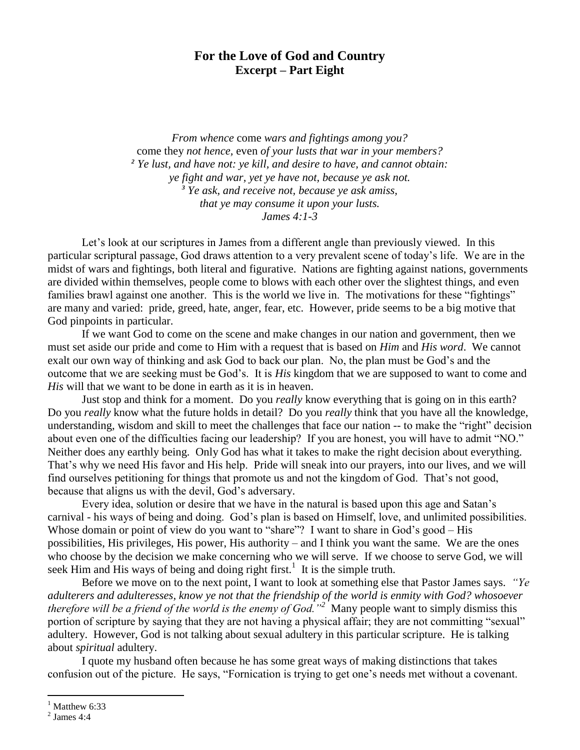## **For the Love of God and Country Excerpt – Part Eight**

*From whence* come *wars and fightings among you?*  come they *not hence,* even *of your lusts that war in your members? <sup>2</sup> Ye lust, and have not: ye kill, and desire to have, and cannot obtain: ye fight and war, yet ye have not, because ye ask not. <sup>3</sup> Ye ask, and receive not, because ye ask amiss, that ye may consume it upon your lusts. James 4:1-3*

Let's look at our scriptures in James from a different angle than previously viewed. In this particular scriptural passage, God draws attention to a very prevalent scene of today's life. We are in the midst of wars and fightings, both literal and figurative. Nations are fighting against nations, governments are divided within themselves, people come to blows with each other over the slightest things, and even families brawl against one another. This is the world we live in. The motivations for these "fightings" are many and varied: pride, greed, hate, anger, fear, etc. However, pride seems to be a big motive that God pinpoints in particular.

If we want God to come on the scene and make changes in our nation and government, then we must set aside our pride and come to Him with a request that is based on *Him* and *His word*. We cannot exalt our own way of thinking and ask God to back our plan. No, the plan must be God's and the outcome that we are seeking must be God's. It is *His* kingdom that we are supposed to want to come and *His* will that we want to be done in earth as it is in heaven.

Just stop and think for a moment. Do you *really* know everything that is going on in this earth? Do you *really* know what the future holds in detail? Do you *really* think that you have all the knowledge, understanding, wisdom and skill to meet the challenges that face our nation -- to make the "right" decision about even one of the difficulties facing our leadership? If you are honest, you will have to admit "NO." Neither does any earthly being. Only God has what it takes to make the right decision about everything. That's why we need His favor and His help. Pride will sneak into our prayers, into our lives, and we will find ourselves petitioning for things that promote us and not the kingdom of God. That's not good, because that aligns us with the devil, God's adversary.

Every idea, solution or desire that we have in the natural is based upon this age and Satan's carnival - his ways of being and doing. God's plan is based on Himself, love, and unlimited possibilities. Whose domain or point of view do you want to "share"? I want to share in God's good – His possibilities, His privileges, His power, His authority – and I think you want the same. We are the ones who choose by the decision we make concerning who we will serve. If we choose to serve God, we will seek Him and His ways of being and doing right first.<sup>1</sup> It is the simple truth.

Before we move on to the next point, I want to look at something else that Pastor James says. *"Ye adulterers and adulteresses, know ye not that the friendship of the world is enmity with God? whosoever therefore will be a friend of the world is the enemy of God."<sup>2</sup>* Many people want to simply dismiss this portion of scripture by saying that they are not having a physical affair; they are not committing "sexual" adultery. However, God is not talking about sexual adultery in this particular scripture. He is talking about *spiritual* adultery.

I quote my husband often because he has some great ways of making distinctions that takes confusion out of the picture. He says, "Fornication is trying to get one's needs met without a covenant.

 $\overline{a}$ 

Matthew 6:33

 $<sup>2</sup>$  James 4:4</sup>